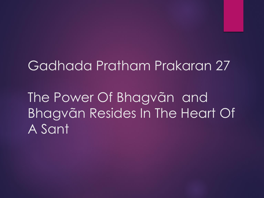### Gadhada Pratham Prakaran 27

The Power Of Bhagvãn and Bhagvãn Resides In The Heart Of A Sant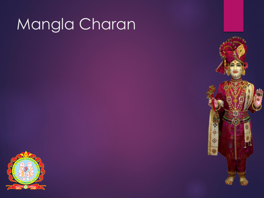# Mangla Charan



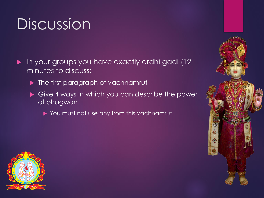# Discussion

- In your groups you have exactly ardhi gadi (12 minutes to discuss:
	- Inte first paragraph of vachnamrut
	- Give 4 ways in which you can describe the power of bhagwan
		- You must not use any from this vachnamrut



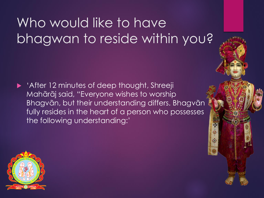## Who would like to have bhagwan to reside within you?

**After 12 minutes of deep thought, Shreeji** Mahãrãj said, "Everyone wishes to worship Bhagvãn, but their understanding differs. Bhagvãn fully resides in the heart of a person who possesses the following understanding:'

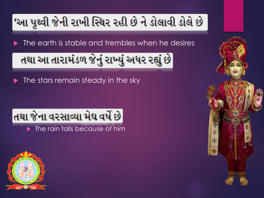## 'આ પૃથ્વી જેની રાખી સ્થિર રહી છે ને ડોલાવી ડોલે છે

The earth is stable and trembles when he desires

તથા આ તારામંડળ જેનું રાખ્યું અધર રહ્યું છે $\mid$ 

The stars remain steady in the sky

# તથા જેના વરસાવ્યા મેઘ વર્ષે છે $\mid$

The rain falls because of him

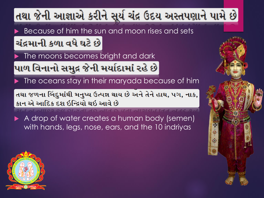## તથા જેની આજ્ઞાએ કરીને સૂર્ય ચંદ્ર ઉદય અસ્તપણાને પામે છે|

 Because of him the sun and moon rises and sets ચંદ્રમાની કળા વધે ઘટે છે

The moons becomes bright and dark

પાળ વિનાનો સમુદ્ર જેની મર્યાદામાં રહે છે

The oceans stay in their maryada because of him

તથા જળના બિંદુમાંથી મનુષ્ય ઉત્પન્ન થાય છે અને તેને હાથ, પગ, નાક, કાન એ આદિક દશ ઇન્દ્રિયો થઇ આવે છે

 A drop of water creates a human body (semen) with hands, legs, nose, ears, and the 10 indriyas

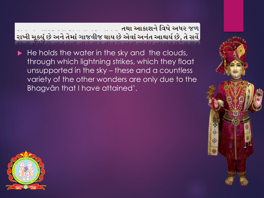#### તથા આકાશને વિષે અધર જળ રાખી મૂક્યું છે અને તેમાં ગાજવીજ થાય છે એવાં અનંત આશ્ચર્ય છે, તે સર્વે

 He holds the water in the sky and the clouds, through which lightning strikes, which they float unsupported in the sky – these and a countless variety of the other wonders are only due to the Bhagvãn that I have attained'.

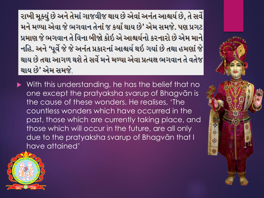રાખી મૂક્યું છે અને તેમાં ગાજવીજ થાય છે એવાં અનંત આશ્ચર્ય છે, તે સર્વે મને મળ્યા એવા જે ભગવાન તેનાં જ કર્યાં થાય છે' એમ સમજે. પણ પ્રગટ પ્રમાણ જે ભગવાન તે વિના બીજો કોઇ એ આશ્ચર્યનો કરનારો છે એમ માને નહિ. અને 'પૂર્વે જે જે અનંત પ્રકારનાં આશ્ચર્ય થઇ ગયાં છે તથા હમણાં જે થાય છે તથા આગળ થશે તે સર્વે મને મળ્યા એવા પ્રત્યક્ષ ભગવાન તે વતેજ થાય છે' એમ સમજે.

With this understanding, he has the belief that no one except the pratyaksha svarup of Bhagvãn is the cause of these wonders. He realises, 'The countless wonders which have occurred in the past, those which are currently taking place, and those which will occur in the future, are all only due to the pratyaksha svarup of Bhagvãn that I have attained'

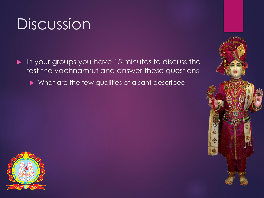## Discussion

 In your groups you have 15 minutes to discuss the rest the vachnamrut and answer these questions

What are the few qualities of a sant described